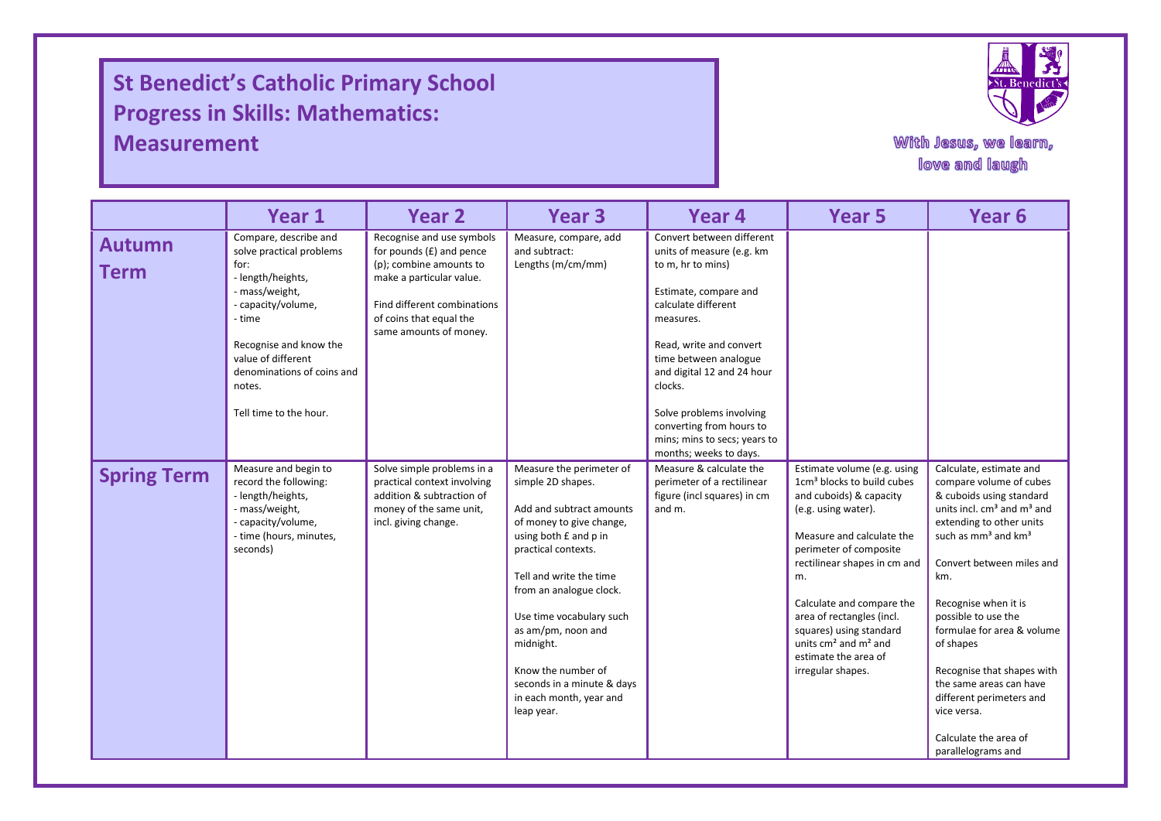## **St Benedict's Catholic Primary School Progress in Skills: Mathematics: Measurement**

I

I

I



With Jesus, we learn, love and laugh

|                              | Year 1                                                                                                                                                                                                                                             | Year <sub>2</sub>                                                                                                                                                                                  | Year <sub>3</sub>                                                                                                                                                                                                                                                                                                                                                       | Year 4                                                                                                                                                                                                                                                                                                                                                  | <b>Year 5</b>                                                                                                                                                                                                                                                                                                                                                                      | Year <sub>6</sub>                                                                                                                                                                                                                                                                                                                                                                                                                                                                                |
|------------------------------|----------------------------------------------------------------------------------------------------------------------------------------------------------------------------------------------------------------------------------------------------|----------------------------------------------------------------------------------------------------------------------------------------------------------------------------------------------------|-------------------------------------------------------------------------------------------------------------------------------------------------------------------------------------------------------------------------------------------------------------------------------------------------------------------------------------------------------------------------|---------------------------------------------------------------------------------------------------------------------------------------------------------------------------------------------------------------------------------------------------------------------------------------------------------------------------------------------------------|------------------------------------------------------------------------------------------------------------------------------------------------------------------------------------------------------------------------------------------------------------------------------------------------------------------------------------------------------------------------------------|--------------------------------------------------------------------------------------------------------------------------------------------------------------------------------------------------------------------------------------------------------------------------------------------------------------------------------------------------------------------------------------------------------------------------------------------------------------------------------------------------|
| <b>Autumn</b><br><b>Term</b> | Compare, describe and<br>solve practical problems<br>for:<br>- length/heights,<br>- mass/weight,<br>- capacity/volume,<br>- time<br>Recognise and know the<br>value of different<br>denominations of coins and<br>notes.<br>Tell time to the hour. | Recognise and use symbols<br>for pounds $(E)$ and pence<br>(p); combine amounts to<br>make a particular value.<br>Find different combinations<br>of coins that equal the<br>same amounts of money. | Measure, compare, add<br>and subtract:<br>Lengths (m/cm/mm)                                                                                                                                                                                                                                                                                                             | Convert between different<br>units of measure (e.g. km<br>to m, hr to mins)<br>Estimate, compare and<br>calculate different<br>measures.<br>Read, write and convert<br>time between analogue<br>and digital 12 and 24 hour<br>clocks.<br>Solve problems involving<br>converting from hours to<br>mins; mins to secs; years to<br>months; weeks to days. |                                                                                                                                                                                                                                                                                                                                                                                    |                                                                                                                                                                                                                                                                                                                                                                                                                                                                                                  |
| <b>Spring Term</b>           | Measure and begin to<br>record the following:<br>- length/heights,<br>- mass/weight,<br>- capacity/volume,<br>- time (hours, minutes,<br>seconds)                                                                                                  | Solve simple problems in a<br>practical context involving<br>addition & subtraction of<br>money of the same unit,<br>incl. giving change.                                                          | Measure the perimeter of<br>simple 2D shapes.<br>Add and subtract amounts<br>of money to give change,<br>using both £ and p in<br>practical contexts.<br>Tell and write the time<br>from an analogue clock.<br>Use time vocabulary such<br>as am/pm, noon and<br>midnight.<br>Know the number of<br>seconds in a minute & days<br>in each month, year and<br>leap year. | Measure & calculate the<br>perimeter of a rectilinear<br>figure (incl squares) in cm<br>and m.                                                                                                                                                                                                                                                          | Estimate volume (e.g. using<br>1cm <sup>3</sup> blocks to build cubes<br>and cuboids) & capacity<br>(e.g. using water).<br>Measure and calculate the<br>perimeter of composite<br>rectilinear shapes in cm and<br>m.<br>Calculate and compare the<br>area of rectangles (incl.<br>squares) using standard<br>units $cm2$ and $m2$ and<br>estimate the area of<br>irregular shapes. | Calculate, estimate and<br>compare volume of cubes<br>& cuboids using standard<br>units incl. cm <sup>3</sup> and m <sup>3</sup> and<br>extending to other units<br>such as mm <sup>3</sup> and km <sup>3</sup><br>Convert between miles and<br>km.<br>Recognise when it is<br>possible to use the<br>formulae for area & volume<br>of shapes<br>Recognise that shapes with<br>the same areas can have<br>different perimeters and<br>vice versa.<br>Calculate the area of<br>parallelograms and |